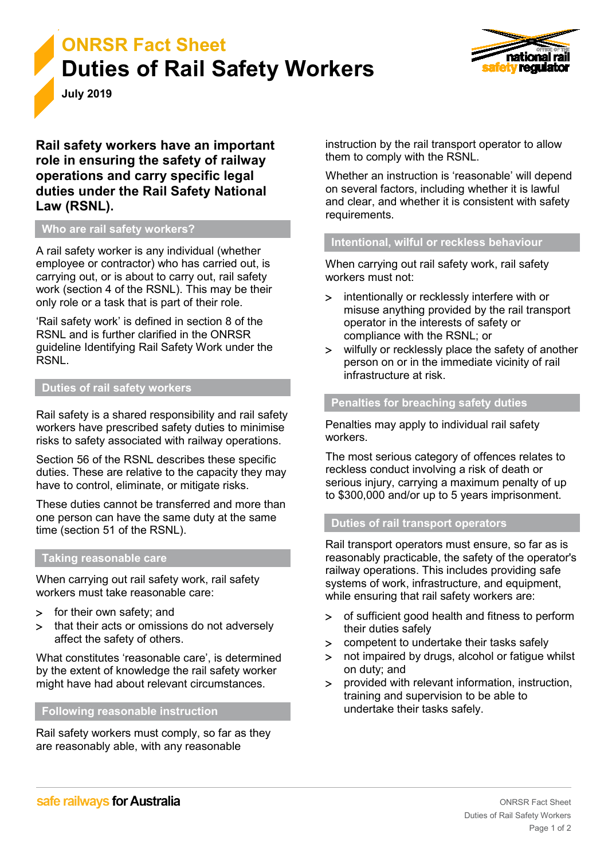



**July 2019**

**Rail safety workers have an important role in ensuring the safety of railway operations and carry specific legal duties under the Rail Safety National Law (RSNL).**

# **Who are rail safety workers?**

A rail safety worker is any individual (whether employee or contractor) who has carried out, is carrying out, or is about to carry out, rail safety work (section 4 of the RSNL). This may be their only role or a task that is part of their role.

'Rail safety work' is defined in section 8 of the RSNL and is further clarified in the ONRSR guideline Identifying Rail Safety Work under the RSNL.

## **Duties of rail safety workers**

Rail safety is a shared responsibility and rail safety workers have prescribed safety duties to minimise risks to safety associated with railway operations.

Section 56 of the RSNL describes these specific duties. These are relative to the capacity they may have to control, eliminate, or mitigate risks.

These duties cannot be transferred and more than one person can have the same duty at the same time (section 51 of the RSNL).

### **Taking reasonable care**

When carrying out rail safety work, rail safety workers must take reasonable care:

- > for their own safety; and
- > that their acts or omissions do not adversely affect the safety of others.

What constitutes 'reasonable care', is determined by the extent of knowledge the rail safety worker might have had about relevant circumstances.

# **Following reasonable instruction**

Rail safety workers must comply, so far as they are reasonably able, with any reasonable

instruction by the rail transport operator to allow them to comply with the RSNL.

Whether an instruction is 'reasonable' will depend on several factors, including whether it is lawful and clear, and whether it is consistent with safety requirements.

### **Intentional, wilful or reckless behaviour**

When carrying out rail safety work, rail safety workers must not:

- > intentionally or recklessly interfere with or misuse anything provided by the rail transport operator in the interests of safety or compliance with the RSNL; or
- > wilfully or recklessly place the safety of another person on or in the immediate vicinity of rail infrastructure at risk.

# **Penalties for breaching safety duties**

Penalties may apply to individual rail safety workers.

The most serious category of offences relates to reckless conduct involving a risk of death or serious injury, carrying a maximum penalty of up to \$300,000 and/or up to 5 years imprisonment.

#### **Duties of rail transport operators**

Rail transport operators must ensure, so far as is reasonably practicable, the safety of the operator's railway operations. This includes providing safe systems of work, infrastructure, and equipment, while ensuring that rail safety workers are:

- > of sufficient good health and fitness to perform their duties safely
- > competent to undertake their tasks safely
- > not impaired by drugs, alcohol or fatigue whilst on duty; and
- > provided with relevant information, instruction, training and supervision to be able to undertake their tasks safely.